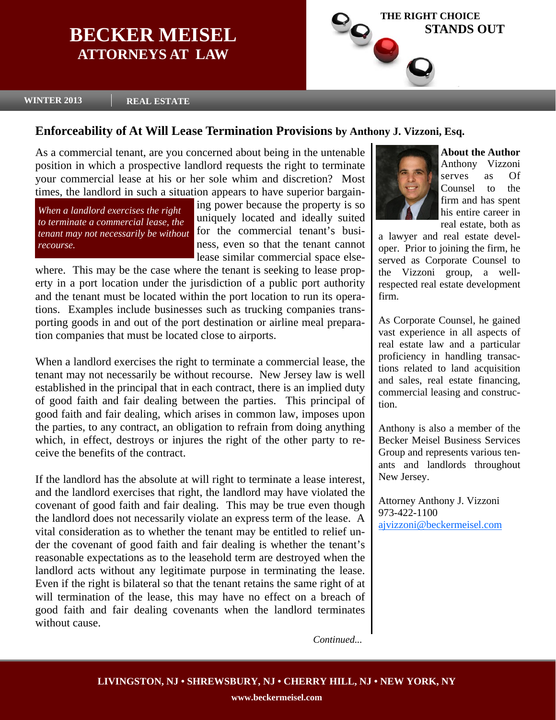# **BECKER MEISEL ATTORNEYS AT LAW**



**WINTER 2013 REAL ESTATE** 

## **Enforceability of At Will Lease Termination Provisions by Anthony J. Vizzoni, Esq.**

As a commercial tenant, are you concerned about being in the untenable position in which a prospective landlord requests the right to terminate your commercial lease at his or her sole whim and discretion? Most times, the landlord in such a situation appears to have superior bargain-

*When a landlord exercises the right to terminate a commercial lease, the recourse.* 

ing power because the property is so uniquely located and ideally suited *tenant may not necessarily be without* for the commercial tenant's business, even so that the tenant cannot lease similar commercial space else-

where. This may be the case where the tenant is seeking to lease property in a port location under the jurisdiction of a public port authority and the tenant must be located within the port location to run its operations. Examples include businesses such as trucking companies transporting goods in and out of the port destination or airline meal preparation companies that must be located close to airports.

When a landlord exercises the right to terminate a commercial lease, the tenant may not necessarily be without recourse. New Jersey law is well established in the principal that in each contract, there is an implied duty of good faith and fair dealing between the parties. This principal of good faith and fair dealing, which arises in common law, imposes upon the parties, to any contract, an obligation to refrain from doing anything which, in effect, destroys or injures the right of the other party to receive the benefits of the contract.

If the landlord has the absolute at will right to terminate a lease interest, and the landlord exercises that right, the landlord may have violated the covenant of good faith and fair dealing. This may be true even though the landlord does not necessarily violate an express term of the lease. A vital consideration as to whether the tenant may be entitled to relief under the covenant of good faith and fair dealing is whether the tenant's reasonable expectations as to the leasehold term are destroyed when the landlord acts without any legitimate purpose in terminating the lease. Even if the right is bilateral so that the tenant retains the same right of at will termination of the lease, this may have no effect on a breach of good faith and fair dealing covenants when the landlord terminates without cause.



**About the Author**  Anthony Vizzoni serves as Of Counsel to the firm and has spent his entire career in real estate, both as

a lawyer and real estate developer. Prior to joining the firm, he served as Corporate Counsel to the Vizzoni group, a wellrespected real estate development firm.

As Corporate Counsel, he gained vast experience in all aspects of real estate law and a particular proficiency in handling transactions related to land acquisition and sales, real estate financing, commercial leasing and construction.

Anthony is also a member of the Becker Meisel Business Services Group and represents various tenants and landlords throughout New Jersey.

Attorney Anthony J. Vizzoni 973-422-1100 ajvizzoni@beckermeisel.com

*Continued...*